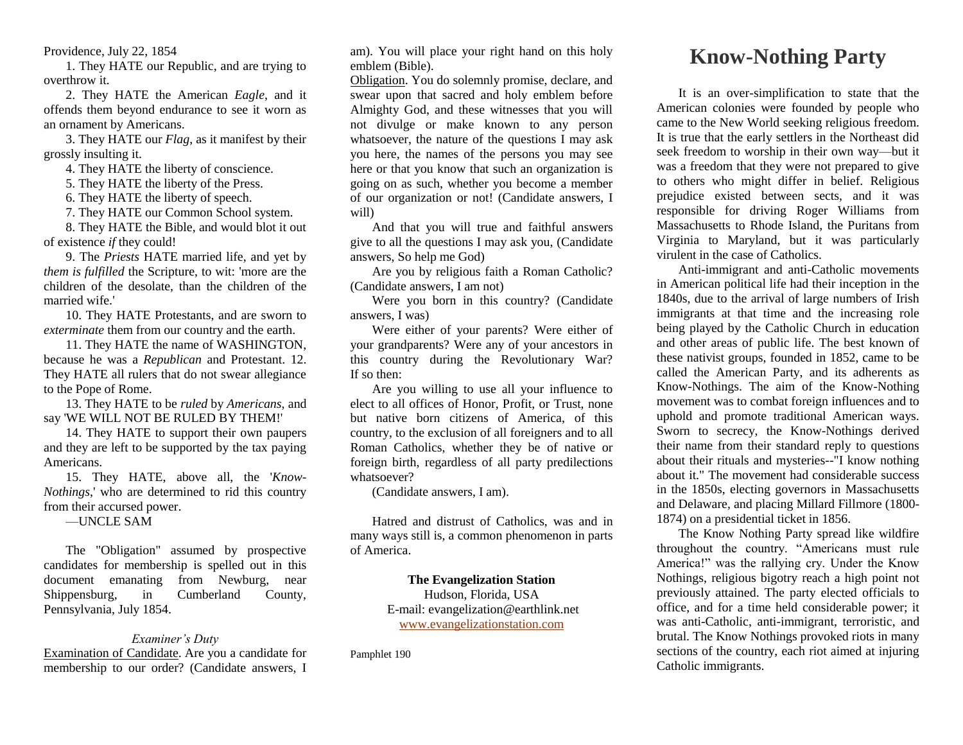Providence, July 22, 1854

1. They HATE our Republic, and are trying to overthrow it.

2. They HATE the American *Eagle*, and it offends them beyond endurance to see it worn as an ornament by Americans.

3. They HATE our *Flag*, as it manifest by their grossly insulting it.

4. They HATE the liberty of conscience.

5. They HATE the liberty of the Press.

6. They HATE the liberty of speech.

7. They HATE our Common School system.

8. They HATE the Bible, and would blot it out of existence *if* they could!

9. The *Priests* HATE married life, and yet by *them is fulfilled* the Scripture, to wit: 'more are the children of the desolate, than the children of the married wife.'

10. They HATE Protestants, and are sworn to *exterminate* them from our country and the earth.

11. They HATE the name of WASHINGTON, because he was a *Republican* and Protestant. 12. They HATE all rulers that do not swear allegiance to the Pope of Rome.

13. They HATE to be *ruled* by *Americans*, and say 'WE WILL NOT BE RULED BY THEM!'

14. They HATE to support their own paupers and they are left to be supported by the tax paying Americans.

15. They HATE, above all, the '*Know-Nothings*,' who are determined to rid this country from their accursed power.

—UNCLE SAM

The "Obligation" assumed by prospective candidates for membership is spelled out in this document emanating from Newburg, near Shippensburg, in Cumberland County. Pennsylvania, July 1854.

## *Examiner's Duty*

Examination of Candidate. Are you a candidate for membership to our order? (Candidate answers, I am). You will place your right hand on this holy emblem (Bible).

Obligation. You do solemnly promise, declare, and swear upon that sacred and holy emblem before Almighty God, and these witnesses that you will not divulge or make known to any person whatsoever, the nature of the questions I may ask you here, the names of the persons you may see here or that you know that such an organization is going on as such, whether you become a member of our organization or not! (Candidate answers, I will)

And that you will true and faithful answers give to all the questions I may ask you, (Candidate answers, So help me God)

Are you by religious faith a Roman Catholic? (Candidate answers, I am not)

Were you born in this country? (Candidate answers, I was)

Were either of your parents? Were either of your grandparents? Were any of your ancestors in this country during the Revolutionary War? If so then:

Are you willing to use all your influence to elect to all offices of Honor, Profit, or Trust, none but native born citizens of America, of this country, to the exclusion of all foreigners and to all Roman Catholics, whether they be of native or foreign birth, regardless of all party predilections whatsoever?

(Candidate answers, I am).

Hatred and distrust of Catholics, was and in many ways still is, a common phenomenon in parts of America.

## **The Evangelization Station**

Hudson, Florida, USA E-mail: evangelization@earthlink.net [www.evangelizationstation.com](http://www.pjpiisoe.org/)

Pamphlet 190

## **Know-Nothing Party**

It is an over-simplification to state that the American colonies were founded by people who came to the New World seeking religious freedom. It is true that the early settlers in the Northeast did seek freedom to worship in their own way—but it was a freedom that they were not prepared to give to others who might differ in belief. Religious prejudice existed between sects, and it was responsible for driving Roger Williams from Massachusetts to Rhode Island, the Puritans from Virginia to Maryland, but it was particularly virulent in the case of Catholics.

Anti-immigrant and anti-Catholic movements in American political life had their inception in the 1840s, due to the arrival of large numbers of Irish immigrants at that time and the increasing role being played by the Catholic Church in education and other areas of public life. The best known of these nativist groups, founded in 1852, came to be called the American Party, and its adherents as Know-Nothings. The aim of the Know-Nothing movement was to combat foreign influences and to uphold and promote traditional American ways. Sworn to secrecy, the Know-Nothings derived their name from their standard reply to questions about their rituals and mysteries--"I know nothing about it." The movement had considerable success in the 1850s, electing governors in Massachusetts and Delaware, and placing Millard Fillmore (1800- 1874) on a presidential ticket in 1856.

The Know Nothing Party spread like wildfire throughout the country. "Americans must rule America!" was the rallying cry. Under the Know Nothings, religious bigotry reach a high point not previously attained. The party elected officials to office, and for a time held considerable power; it was anti-Catholic, anti-immigrant, terroristic, and brutal. The Know Nothings provoked riots in many sections of the country, each riot aimed at injuring Catholic immigrants.